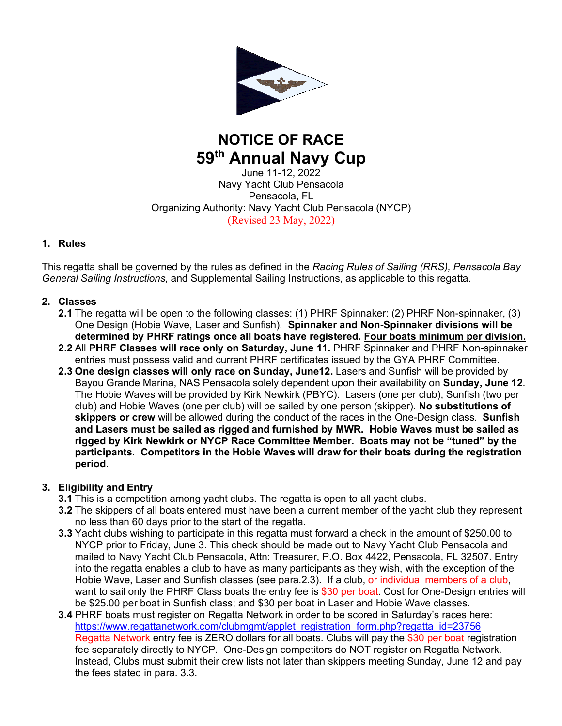

# **NOTICE OF RACE 59th Annual Navy Cup**

June 11-12, 2022 Navy Yacht Club Pensacola Pensacola, FL Organizing Authority: Navy Yacht Club Pensacola (NYCP) (Revised 23 May, 2022)

## **1. Rules**

This regatta shall be governed by the rules as defined in the *Racing Rules of Sailing (RRS), Pensacola Bay General Sailing Instructions,* and Supplemental Sailing Instructions, as applicable to this regatta.

## **2. Classes**

- **2.1** The regatta will be open to the following classes: (1) PHRF Spinnaker: (2) PHRF Non-spinnaker, (3) One Design (Hobie Wave, Laser and Sunfish). **Spinnaker and Non-Spinnaker divisions will be determined by PHRF ratings once all boats have registered. Four boats minimum per division.**
- **2.2** All **PHRF Classes will race only on Saturday, June 11.** PHRF Spinnaker and PHRF Non-spinnaker entries must possess valid and current PHRF certificates issued by the GYA PHRF Committee.
- **2.3 One design classes will only race on Sunday, June12.** Lasers and Sunfish will be provided by Bayou Grande Marina, NAS Pensacola solely dependent upon their availability on **Sunday, June 12**. The Hobie Waves will be provided by Kirk Newkirk (PBYC). Lasers (one per club), Sunfish (two per club) and Hobie Waves (one per club) will be sailed by one person (skipper). **No substitutions of skippers or crew** will be allowed during the conduct of the races in the One-Design class. **Sunfish and Lasers must be sailed as rigged and furnished by MWR. Hobie Waves must be sailed as rigged by Kirk Newkirk or NYCP Race Committee Member. Boats may not be "tuned" by the participants. Competitors in the Hobie Waves will draw for their boats during the registration period.**

## **3. Eligibility and Entry**

- **3.1** This is a competition among yacht clubs. The regatta is open to all yacht clubs.
- **3.2** The skippers of all boats entered must have been a current member of the yacht club they represent no less than 60 days prior to the start of the regatta.
- **3.3** Yacht clubs wishing to participate in this regatta must forward a check in the amount of \$250.00 to NYCP prior to Friday, June 3. This check should be made out to Navy Yacht Club Pensacola and mailed to Navy Yacht Club Pensacola, Attn: Treasurer, P.O. Box 4422, Pensacola, FL 32507. Entry into the regatta enables a club to have as many participants as they wish, with the exception of the Hobie Wave, Laser and Sunfish classes (see para.2.3). If a club, or individual members of a club, want to sail only the PHRF Class boats the entry fee is \$30 per boat. Cost for One-Design entries will be \$25.00 per boat in Sunfish class; and \$30 per boat in Laser and Hobie Wave classes.
- **3.4** PHRF boats must register on Regatta Network in order to be scored in Saturday's races here: https://www.regattanetwork.com/clubmgmt/applet\_registration\_form.php?regatta\_id=23756 Regatta Network entry fee is ZERO dollars for all boats. Clubs will pay the \$30 per boat registration fee separately directly to NYCP. One-Design competitors do NOT register on Regatta Network. Instead, Clubs must submit their crew lists not later than skippers meeting Sunday, June 12 and pay the fees stated in para. 3.3.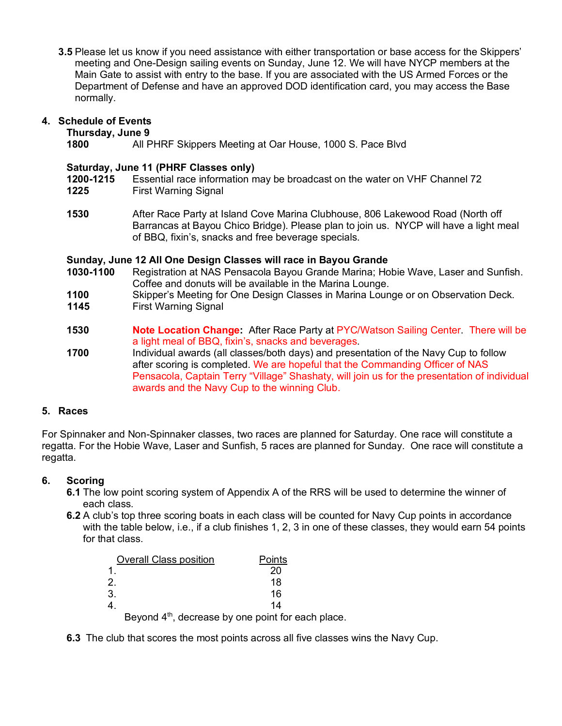**3.5** Please let us know if you need assistance with either transportation or base access for the Skippers' meeting and One-Design sailing events on Sunday, June 12. We will have NYCP members at the Main Gate to assist with entry to the base. If you are associated with the US Armed Forces or the Department of Defense and have an approved DOD identification card, you may access the Base normally.

## **4. Schedule of Events**

#### **Thursday, June 9**

**1800** All PHRF Skippers Meeting at Oar House, 1000 S. Pace Blvd

#### **Saturday, June 11 (PHRF Classes only)**

**1200-1215** Essential race information may be broadcast on the water on VHF Channel 72

- **1225** First Warning Signal
- **1530** After Race Party at Island Cove Marina Clubhouse, 806 Lakewood Road (North off Barrancas at Bayou Chico Bridge). Please plan to join us. NYCP will have a light meal of BBQ, fixin's, snacks and free beverage specials.

### **Sunday, June 12 All One Design Classes will race in Bayou Grande**

- **1030-1100** Registration at NAS Pensacola Bayou Grande Marina; Hobie Wave, Laser and Sunfish. Coffee and donuts will be available in the Marina Lounge.
- **1100** Skipper's Meeting for One Design Classes in Marina Lounge or on Observation Deck.
- **1145** First Warning Signal
- **1530 Note Location Change:** After Race Party at PYC/Watson Sailing Center. There will be a light meal of BBQ, fixin's, snacks and beverages.
- **1700** Individual awards (all classes/both days) and presentation of the Navy Cup to follow after scoring is completed. We are hopeful that the Commanding Officer of NAS Pensacola, Captain Terry "Village" Shashaty, will join us for the presentation of individual awards and the Navy Cup to the winning Club.

## **5. Races**

For Spinnaker and Non-Spinnaker classes, two races are planned for Saturday. One race will constitute a regatta. For the Hobie Wave, Laser and Sunfish, 5 races are planned for Sunday. One race will constitute a regatta.

## **6. Scoring**

- **6.1** The low point scoring system of Appendix A of the RRS will be used to determine the winner of each class.
- **6.2** A club's top three scoring boats in each class will be counted for Navy Cup points in accordance with the table below, i.e., if a club finishes 1, 2, 3 in one of these classes, they would earn 54 points for that class.

| <b>Overall Class position</b> | Points                                                         |
|-------------------------------|----------------------------------------------------------------|
|                               | 20                                                             |
| 2.                            | 18                                                             |
| 3.                            | 16                                                             |
|                               | 14                                                             |
|                               | Beyond 4 <sup>th</sup> , decrease by one point for each place. |

**6.3** The club that scores the most points across all five classes wins the Navy Cup.